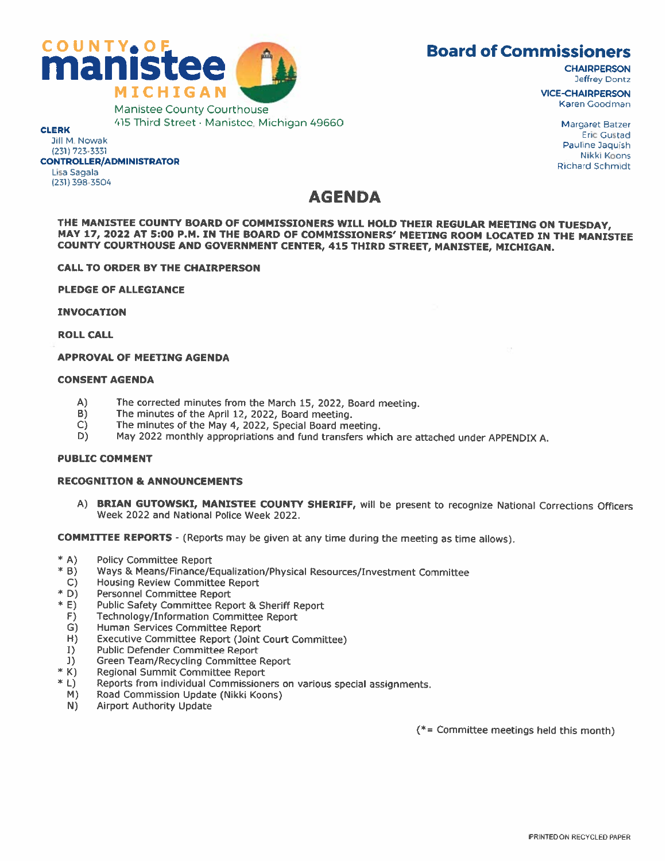



Manistee County Courthouse 415 Third Street• Manistee, Michigan 49660

### CLERK

Jill M. Nowak

#### (231) 723-3331 CONTROLLER/ADMINISTRATOR

Lisa Sagala (231) 398-3504

## AGENDA

THE MANISTEE COUNTY BOARD OF COMMISSIONERS WILL HOLD THEIR REGULAR MEETING ON TUESDAY, MAY 17, 2022 AT 5:00 P.M. IN THE BOARD OF COMMISSIONERS' MEETING ROOM LOCATED IN THE MANISTEE COUNTY COURTHOUSE AND GOVERNMENT CENTER, <sup>415</sup> THIRD STREET, MANISTEE, MICHIGAN.

#### CALL TO ORDER BY THE CHAIRPERSON

PLEDGE OF ALLEGIANCE

INVOCATION

ROLL CALL

#### APPROVAL OF MEETING AGENDA

#### CONSENT AGENDA

- A) The corrected minutes from the March 15, 2022, Board meeting.<br>B) The minutes of the April 12, 2022, Board meeting.
- B) The minutes of the April 12, 2022, Board meeting.<br>C) The minutes of the May 4, 2022, Special Board me
- C) The minutes of the May 4, 2022, Special Board meeting.<br>D) May 2022 monthly appropriations and fund transfers whi
- D) May 2022 monthly appropriations and fund transfers which are attached under APPENDIX A.

#### PUBLIC COMMENT

#### RECOGNITION & ANNOUNCEMENTS

A) BRIAN GUTOWSKI, MANISTEE COUNTY SHERIFF, will be present to recognize National Corrections Officers Week 2022 and National Police Week 2022.

COMMITTEE REPORTS - (Reports may be given at any time during the meeting as time allows).

- 
- \* A) Policy Committee Report<br>\* B) Ways & Means/Finance/Equalization/Physical Resources/Investment Committee
- C) Housing Review Committee Report
- 
- \* 0) Personnel Committee Report \* E) Public Safety Committee Report & Sheriff Report
- F) Technology/Information Committee Report
- G) Human Services Committee Report<br>
H) Executive Committee Report (Joint
- Executive Committee Report (Joint Court Committee)
- T) Public Defender Committee Report
- 
- 
- J) Green Team/Recycling Committee Report<br>\* K) Regional Summit Committee Report<br>\* L) Reports from individual Commissioners on various special assignments.
- M) Road Commission Update (Nikki Koons)
- N) Airport Authority Update

(\*= Committee meetings held this month)

VICE-CHAIRPERSON Karen Goodman

> Margaret Batzer Eric Gustad Pauline Daquish Nikki Koons Richard Schmidt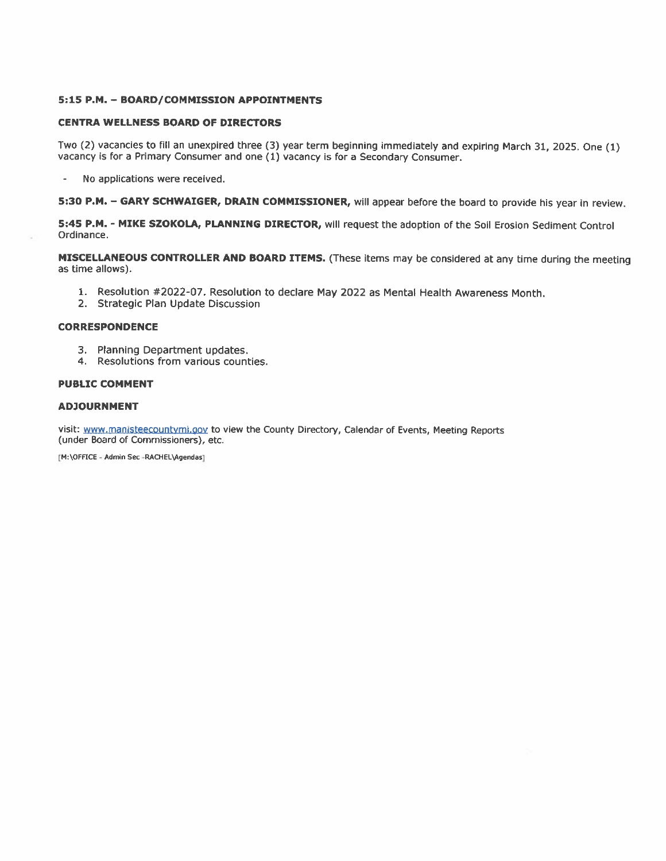#### 5:15 P.M. - BOARD/COMMISSION APPOINTMENTS

#### CENTRA WELLNESS BOARD OF DIRECTORS

Two (2) vacancies to fill an unexpired three (3) year term beginning immediately and expiring March 31, 2025. One (1) vacancy is for a Primary Consumer and one (1) vacancy is for a Secondary Consumer.

- No applications were received.

5:30 P.M. - GARY SCHWAIGER, DRAIN COMMISSIONER, will appear before the board to provide his year in review.

5:45 P.M. - MIKE SZOKOLA, PLANNING DIRECTOR, will request the adoption of the Soil Erosion Sediment Control Ordinance.

MISCELLANEOUS CONTROLLER AND BOARD ITEMS. (These items may be considered at any time during the meeting as time allows).

- 1. Resolution #2022-07. Resolution to declare May 2022 as Mental Health Awareness Month.
- 2. Strategic Plan Update Discussion

#### CORRESPONDENCE

- 3. Planning Department updates.
- 4. Resolutions from various counties.

#### PUBLIC COMMENT

#### ADJOURNMENT

visit: www.manisteecountymi.gov to view the County Directory, Calendar of Events, Meeting Reports (under Board of Commissioners), etc.

[M:\OFFICE - Admin Sec -RACHEL\Agendas]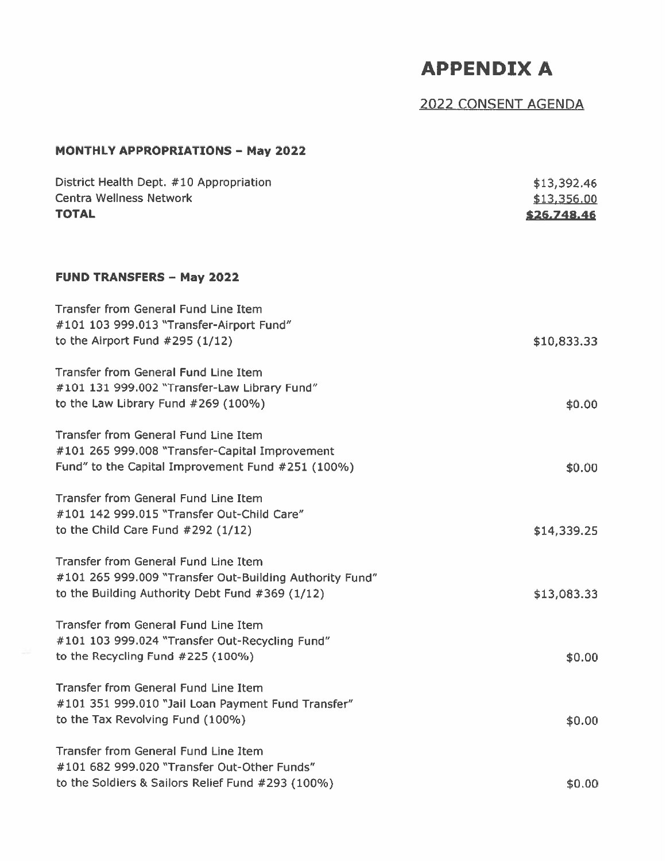# APPENDIX A

# 2022 CONSENT AGENDA

## **MONTHLY APPROPRIATIONS - May 2022**

| District Health Dept. #10 Appropriation<br><b>Centra Wellness Network</b><br><b>TOTAL</b>                                                                 | \$13,392.46<br>\$13,356.00<br>\$26,748.46 |
|-----------------------------------------------------------------------------------------------------------------------------------------------------------|-------------------------------------------|
| <b>FUND TRANSFERS - May 2022</b>                                                                                                                          |                                           |
| <b>Transfer from General Fund Line Item</b><br>#101 103 999.013 "Transfer-Airport Fund"<br>to the Airport Fund $#295(1/12)$                               | \$10,833.33                               |
| <b>Transfer from General Fund Line Item</b><br>#101 131 999.002 "Transfer-Law Library Fund"<br>to the Law Library Fund #269 (100%)                        | \$0.00                                    |
| <b>Transfer from General Fund Line Item</b><br>#101 265 999.008 "Transfer-Capital Improvement<br>Fund" to the Capital Improvement Fund #251 (100%)        | \$0.00                                    |
| Transfer from General Fund Line Item<br>#101 142 999.015 "Transfer Out-Child Care"<br>to the Child Care Fund $#292(1/12)$                                 | \$14,339.25                               |
| <b>Transfer from General Fund Line Item</b><br>#101 265 999.009 "Transfer Out-Building Authority Fund"<br>to the Building Authority Debt Fund #369 (1/12) | \$13,083.33                               |
| <b>Transfer from General Fund Line Item</b><br>#101 103 999.024 "Transfer Out-Recycling Fund"<br>to the Recycling Fund $#225(100%)$                       | \$0.00                                    |
| Transfer from General Fund Line Item<br>#101 351 999.010 "Jail Loan Payment Fund Transfer"<br>to the Tax Revolving Fund (100%)                            | \$0.00                                    |
| <b>Transfer from General Fund Line Item</b><br>#101 682 999.020 "Transfer Out-Other Funds"<br>to the Soldiers & Sailors Relief Fund #293 (100%)           | \$0.00                                    |